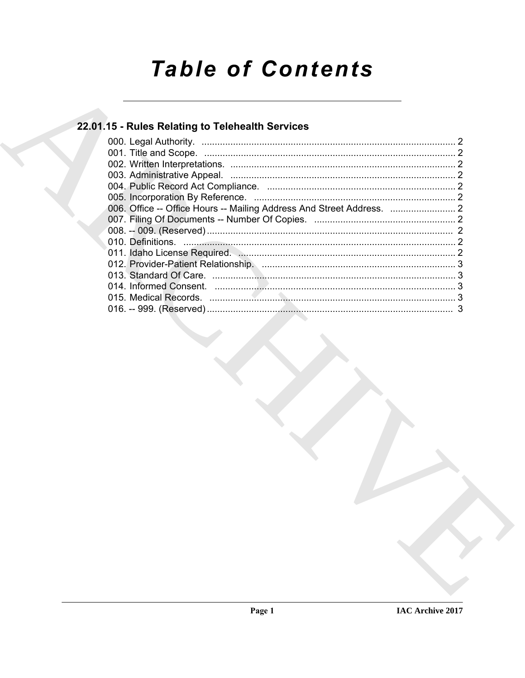# **Table of Contents**

## 22.01.15 - Rules Relating to Telehealth Services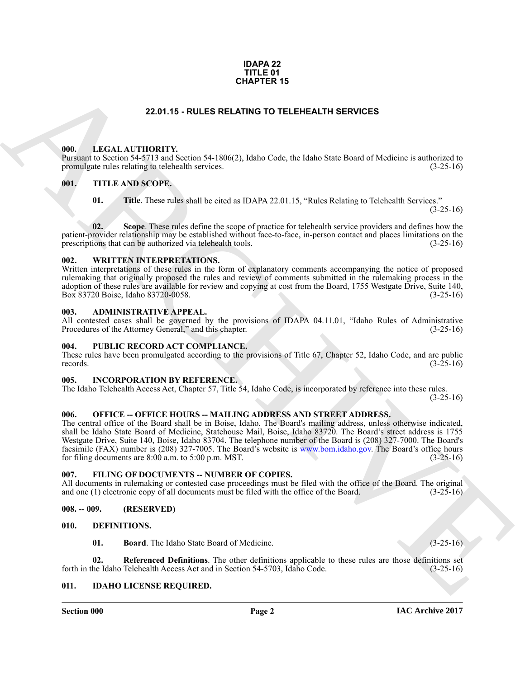#### **IDAPA 22 TITLE 01 CHAPTER 15**

#### **22.01.15 - RULES RELATING TO TELEHEALTH SERVICES**

#### <span id="page-1-19"></span><span id="page-1-1"></span><span id="page-1-0"></span>**000. LEGAL AUTHORITY.**

Pursuant to Section 54-5713 and Section 54-1806(2), Idaho Code, the Idaho State Board of Medicine is authorized to promulgate rules relating to telehealth services. (3-25-16)

#### <span id="page-1-2"></span>**001. TITLE AND SCOPE.**

<span id="page-1-22"></span>**01.** Title. These rules shall be cited as IDAPA 22.01.15, "Rules Relating to Telehealth Services."

 $(3-25-16)$ 

**02. Scope**. These rules define the scope of practice for telehealth service providers and defines how the patient-provider relationship may be established without face-to-face, in-person contact and places limitations on the prescriptions that can be authorized via telehealth tools. (3-25-16) prescriptions that can be authorized via telehealth tools.

#### <span id="page-1-23"></span><span id="page-1-3"></span>**002. WRITTEN INTERPRETATIONS.**

Written interpretations of these rules in the form of explanatory comments accompanying the notice of proposed rulemaking that originally proposed the rules and review of comments submitted in the rulemaking process in the adoption of these rules are available for review and copying at cost from the Board, 1755 Westgate Drive, Suite 140,<br>Box 83720 Boise, Idaho 83720-0058. Box 83720 Boise, Idaho 83720-0058.

#### <span id="page-1-12"></span><span id="page-1-4"></span>**003. ADMINISTRATIVE APPEAL.**

All contested cases shall be governed by the provisions of IDAPA 04.11.01, "Idaho Rules of Administrative Procedures of the Attorney General," and this chapter. (3-25-16) Procedures of the Attorney General," and this chapter.

#### <span id="page-1-21"></span><span id="page-1-5"></span>**004. PUBLIC RECORD ACT COMPLIANCE.**

These rules have been promulgated according to the provisions of Title 67, Chapter 52, Idaho Code, and are public records. (3-25-16) records.  $(3-25-16)$ 

#### <span id="page-1-18"></span><span id="page-1-6"></span>**005. INCORPORATION BY REFERENCE.**

The Idaho Telehealth Access Act, Chapter 57, Title 54, Idaho Code, is incorporated by reference into these rules.

 $(3-25-16)$ 

#### <span id="page-1-20"></span><span id="page-1-7"></span>**006. OFFICE -- OFFICE HOURS -- MAILING ADDRESS AND STREET ADDRESS.**

**CHAPTER 15**<br>
16. LEAD ANTIFORM THE CHARCON CONTENT OF THE HEALTH SERVICES<br>
16. LEAD AND INTERFERICANT CONTENT AND CONTENT AND CONTENT AND CONTENT AND SERVICE IS the content of the state of the state of the state of the s The central office of the Board shall be in Boise, Idaho. The Board's mailing address, unless otherwise indicated, shall be Idaho State Board of Medicine, Statehouse Mail, Boise, Idaho 83720. The Board's street address is 1755 Westgate Drive, Suite 140, Boise, Idaho 83704. The telephone number of the Board is (208) 327-7000. The Board's facsimile (FAX) number is (208) 327-7005. The Board's website is www.bom.idaho.gov. The Board's office hours for filing documents are  $8:00$  a.m. to  $5:00$  p.m. MST.

#### <span id="page-1-16"></span><span id="page-1-8"></span>**007. FILING OF DOCUMENTS -- NUMBER OF COPIES.**

All documents in rulemaking or contested case proceedings must be filed with the office of the Board. The original and one (1) electronic copy of all documents must be filed with the office of the Board. (3-25-16) and one  $(1)$  electronic copy of all documents must be filed with the office of the Board.

#### <span id="page-1-9"></span>**008. -- 009. (RESERVED)**

#### <span id="page-1-10"></span>**010. DEFINITIONS.**

<span id="page-1-15"></span><span id="page-1-14"></span><span id="page-1-13"></span>**01. Board**. The Idaho State Board of Medicine. (3-25-16)

**02.** Referenced Definitions. The other definitions applicable to these rules are those definitions set he Idaho Telehealth Access Act and in Section 54-5703, Idaho Code. (3-25-16) forth in the Idaho Telehealth Access Act and in Section 54-5703, Idaho Code.

#### <span id="page-1-17"></span><span id="page-1-11"></span>**011. IDAHO LICENSE REQUIRED.**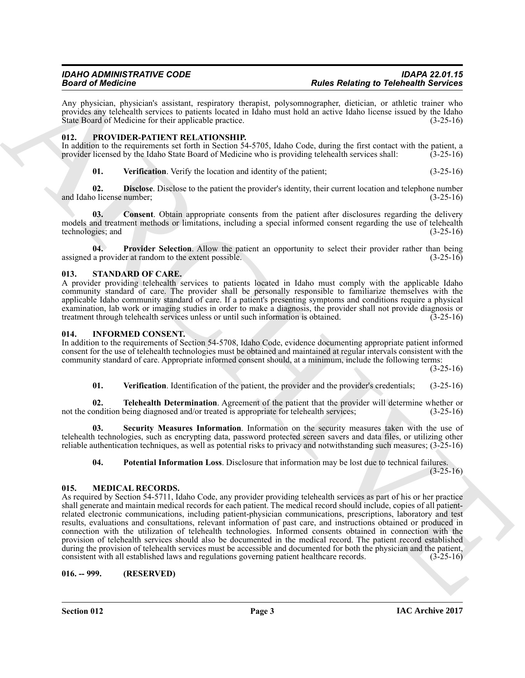Any physician, physician's assistant, respiratory therapist, polysomnographer, dietician, or athletic trainer who provides any telehealth services to patients located in Idaho must hold an active Idaho license issued by the Idaho State Board of Medicine for their applicable practice. (3-25-16) State Board of Medicine for their applicable practice.

#### <span id="page-2-11"></span><span id="page-2-0"></span>**012. PROVIDER-PATIENT RELATIONSHIP.**

In addition to the requirements set forth in Section 54-5705, Idaho Code, during the first contact with the patient, a provider licensed by the Idaho State Board of Medicine who is providing telehealth services shall: (3-2 provider licensed by the Idaho State Board of Medicine who is providing telehealth services shall:

<span id="page-2-15"></span><span id="page-2-13"></span><span id="page-2-12"></span>**01. Verification**. Verify the location and identity of the patient; (3-25-16)

**02. Disclose**. Disclose to the patient the provider's identity, their current location and telephone number o license number; (3-25-16) and Idaho license number;

**03. Consent**. Obtain appropriate consents from the patient after disclosures regarding the delivery models and treatment methods or limitations, including a special informed consent regarding the use of telehealth technologies; and (3-25-16) (3-25-16)

<span id="page-2-14"></span>**04. Provider Selection**. Allow the patient an opportunity to select their provider rather than being assigned a provider at random to the extent possible. (3-25-16)

#### <span id="page-2-16"></span><span id="page-2-1"></span>**013. STANDARD OF CARE.**

A provider providing telehealth services to patients located in Idaho must comply with the applicable Idaho community standard of care. The provider shall be personally responsible to familiarize themselves with the applicable Idaho community standard of care. If a patient's presenting symptoms and conditions require a physical examination, lab work or imaging studies in order to make a diagnosis, the provider shall not provide diagnosis or treatment through telehealth services unless or until such information is obtained. (3-25-16) treatment through telehealth services unless or until such information is obtained.

#### <span id="page-2-5"></span><span id="page-2-2"></span>**014. INFORMED CONSENT.**

In addition to the requirements of Section 54-5708, Idaho Code, evidence documenting appropriate patient informed consent for the use of telehealth technologies must be obtained and maintained at regular intervals consistent with the community standard of care. Appropriate informed consent should, at a minimum, include the following terms:

(3-25-16)

<span id="page-2-9"></span><span id="page-2-8"></span><span id="page-2-7"></span>**01. Verification**. Identification of the patient, the provider and the provider's credentials; (3-25-16)

**02. Telehealth Determination**. Agreement of the patient that the provider will determine whether or not the condition being diagnosed and/or treated is appropriate for telehealth services; (3-25-16)

**03. Security Measures Information**. Information on the security measures taken with the use of telehealth technologies, such as encrypting data, password protected screen savers and data files, or utilizing other reliable authentication techniques, as well as potential risks to privacy and notwithstanding such measures; (3-25-16)

<span id="page-2-10"></span><span id="page-2-6"></span>**04. Potential Information Loss**. Disclosure that information may be lost due to technical failures.

 $(3-25-16)$ 

#### <span id="page-2-3"></span>**015. MEDICAL RECORDS.**

**Solution** denote the state of the control interaction of the Redefigure Columbus Control into the Columbus Control interaction of the columbus Columbus Control interaction of the columbus Columbus Columbus Columbus Colum As required by Section 54-5711, Idaho Code, any provider providing telehealth services as part of his or her practice shall generate and maintain medical records for each patient. The medical record should include, copies of all patientrelated electronic communications, including patient-physician communications, prescriptions, laboratory and test results, evaluations and consultations, relevant information of past care, and instructions obtained or produced in connection with the utilization of telehealth technologies. Informed consents obtained in connection with the provision of telehealth services should also be documented in the medical record. The patient record established during the provision of telehealth services must be accessible and documented for both the physician and the patient, consistent with all established laws and regulations governing patient healthcare records. (3-25-16)

<span id="page-2-4"></span>**016. -- 999. (RESERVED)**